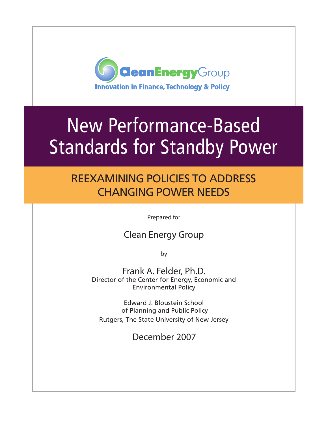

# New Performance-Based Standards for Standby Power

## Reexamining policies to address changing power needs

Prepared for

### Clean Energy Group

by

Frank A. Felder, Ph.D. Director of the Center for Energy, Economic and Environmental Policy

Edward J. Bloustein School of Planning and Public Policy Rutgers, The State University of New Jersey

December 2007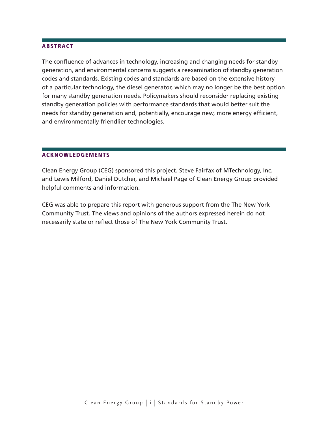#### **ABSTRACT**

The confluence of advances in technology, increasing and changing needs for standby generation, and environmental concerns suggests a reexamination of standby generation codes and standards. Existing codes and standards are based on the extensive history of a particular technology, the diesel generator, which may no longer be the best option for many standby generation needs. Policymakers should reconsider replacing existing standby generation policies with performance standards that would better suit the needs for standby generation and, potentially, encourage new, more energy efficient, and environmentally friendlier technologies.

#### Acknowledgements

Clean Energy Group (CEG) sponsored this project. Steve Fairfax of MTechnology, Inc. and Lewis Milford, Daniel Dutcher, and Michael Page of Clean Energy Group provided helpful comments and information.

CEG was able to prepare this report with generous support from the The New York Community Trust. The views and opinions of the authors expressed herein do not necessarily state or reflect those of The New York Community Trust.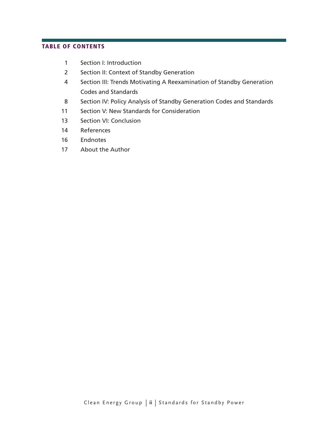#### table of contents

- Section I: Introduction
- Section II: Context of Standby Generation
- Section III: Trends Motivating A Reexamination of Standby Generation Codes and Standards
- Section IV: Policy Analysis of Standby Generation Codes and Standards
- Section V: New Standards for Consideration
- Section VI: Conclusion
- References
- Endnotes
- 17 About the Author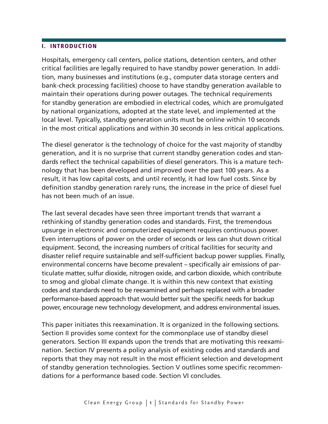#### I. Introduction

Hospitals, emergency call centers, police stations, detention centers, and other critical facilities are legally required to have standby power generation. In addition, many businesses and institutions (e.g., computer data storage centers and bank-check processing facilities) choose to have standby generation available to maintain their operations during power outages. The technical requirements for standby generation are embodied in electrical codes, which are promulgated by national organizations, adopted at the state level, and implemented at the local level. Typically, standby generation units must be online within 10 seconds in the most critical applications and within 30 seconds in less critical applications.

The diesel generator is the technology of choice for the vast majority of standby generation, and it is no surprise that current standby generation codes and standards reflect the technical capabilities of diesel generators. This is a mature technology that has been developed and improved over the past 100 years. As a result, it has low capital costs, and until recently, it had low fuel costs. Since by definition standby generation rarely runs, the increase in the price of diesel fuel has not been much of an issue.

The last several decades have seen three important trends that warrant a rethinking of standby generation codes and standards. First, the tremendous upsurge in electronic and computerized equipment requires continuous power. Even interruptions of power on the order of seconds or less can shut down critical equipment. Second, the increasing numbers of critical facilities for security and disaster relief require sustainable and self-sufficient backup power supplies. Finally, environmental concerns have become prevalent – specifically air emissions of particulate matter, sulfur dioxide, nitrogen oxide, and carbon dioxide, which contribute to smog and global climate change. It is within this new context that existing codes and standards need to be reexamined and perhaps replaced with a broader performance-based approach that would better suit the specific needs for backup power, encourage new technology development, and address environmental issues.

This paper initiates this reexamination. It is organized in the following sections. Section II provides some context for the commonplace use of standby diesel generators. Section III expands upon the trends that are motivating this reexamination. Section IV presents a policy analysis of existing codes and standards and reports that they may not result in the most efficient selection and development of standby generation technologies. Section V outlines some specific recommendations for a performance based code. Section VI concludes.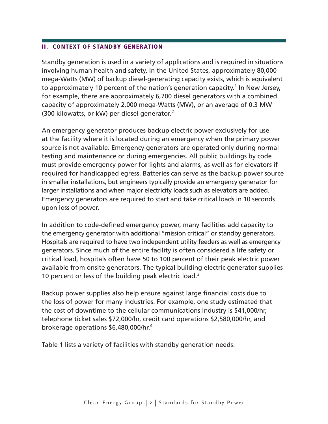#### II. Context of Standby generation

Standby generation is used in a variety of applications and is required in situations involving human health and safety. In the United States, approximately 80,000 mega-Watts (MW) of backup diesel-generating capacity exists, which is equivalent to approximately 10 percent of the nation's generation capacity.<sup>1</sup> In New Jersey, for example, there are approximately 6,700 diesel generators with a combined capacity of approximately 2,000 mega-Watts (MW), or an average of 0.3 MW (300 kilowatts, or kW) per diesel generator.2

An emergency generator produces backup electric power exclusively for use at the facility where it is located during an emergency when the primary power source is not available. Emergency generators are operated only during normal testing and maintenance or during emergencies. All public buildings by code must provide emergency power for lights and alarms, as well as for elevators if required for handicapped egress. Batteries can serve as the backup power source in smaller installations, but engineers typically provide an emergency generator for larger installations and when major electricity loads such as elevators are added. Emergency generators are required to start and take critical loads in 10 seconds upon loss of power.

In addition to code-defined emergency power, many facilities add capacity to the emergency generator with additional "mission critical" or standby generators. Hospitals are required to have two independent utility feeders as well as emergency generators. Since much of the entire facility is often considered a life safety or critical load, hospitals often have 50 to 100 percent of their peak electric power available from onsite generators. The typical building electric generator supplies 10 percent or less of the building peak electric load.<sup>3</sup>

Backup power supplies also help ensure against large financial costs due to the loss of power for many industries. For example, one study estimated that the cost of downtime to the cellular communications industry is \$41,000/hr, telephone ticket sales \$72,000/hr, credit card operations \$2,580,000/hr, and brokerage operations \$6,480,000/hr.<sup>4</sup>

Table 1 lists a variety of facilities with standby generation needs.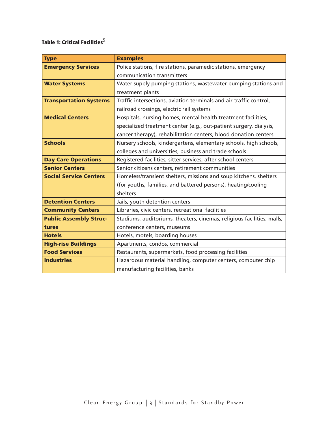#### Table 1: Critical Facilities $^5$

| <b>Type</b>                   | <b>Examples</b>                                                        |  |  |
|-------------------------------|------------------------------------------------------------------------|--|--|
| <b>Emergency Services</b>     | Police stations, fire stations, paramedic stations, emergency          |  |  |
|                               | communication transmitters                                             |  |  |
| <b>Water Systems</b>          | Water supply pumping stations, wastewater pumping stations and         |  |  |
|                               | treatment plants                                                       |  |  |
| <b>Transportation Systems</b> | Traffic intersections, aviation terminals and air traffic control,     |  |  |
|                               | railroad crossings, electric rail systems                              |  |  |
| <b>Medical Centers</b>        | Hospitals, nursing homes, mental health treatment facilities,          |  |  |
|                               | specialized treatment center (e.g., out-patient surgery, dialysis,     |  |  |
|                               | cancer therapy), rehabilitation centers, blood donation centers        |  |  |
| <b>Schools</b>                | Nursery schools, kindergartens, elementary schools, high schools,      |  |  |
|                               | colleges and universities, business and trade schools                  |  |  |
| <b>Day Care Operations</b>    | Registered facilities, sitter services, after-school centers           |  |  |
| <b>Senior Centers</b>         | Senior citizens centers, retirement communities                        |  |  |
| <b>Social Service Centers</b> | Homeless/transient shelters, missions and soup kitchens, shelters      |  |  |
|                               | (for youths, families, and battered persons), heating/cooling          |  |  |
|                               | shelters                                                               |  |  |
| <b>Detention Centers</b>      | Jails, youth detention centers                                         |  |  |
| <b>Community Centers</b>      | Libraries, civic centers, recreational facilities                      |  |  |
| <b>Public Assembly Struc-</b> | Stadiums, auditoriums, theaters, cinemas, religious facilities, malls, |  |  |
| tures                         | conference centers, museums                                            |  |  |
| <b>Hotels</b>                 | Hotels, motels, boarding houses                                        |  |  |
| <b>High-rise Buildings</b>    | Apartments, condos, commercial                                         |  |  |
| <b>Food Services</b>          | Restaurants, supermarkets, food processing facilities                  |  |  |
| <b>Industries</b>             | Hazardous material handling, computer centers, computer chip           |  |  |
|                               | manufacturing facilities, banks                                        |  |  |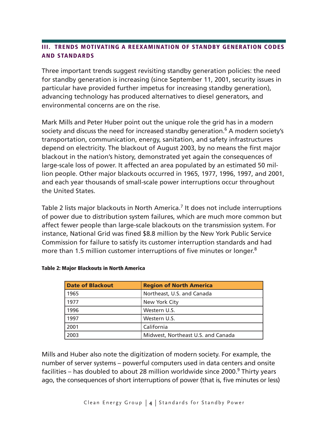#### III. Trends motivating a reexamination of standby generation codes and standards

Three important trends suggest revisiting standby generation policies: the need for standby generation is increasing (since September 11, 2001, security issues in particular have provided further impetus for increasing standby generation), advancing technology has produced alternatives to diesel generators, and environmental concerns are on the rise.

Mark Mills and Peter Huber point out the unique role the grid has in a modern society and discuss the need for increased standby generation.<sup>6</sup> A modern society's transportation, communication, energy, sanitation, and safety infrastructures depend on electricity. The blackout of August 2003, by no means the first major blackout in the nation's history, demonstrated yet again the consequences of large-scale loss of power. It affected an area populated by an estimated 50 million people. Other major blackouts occurred in 1965, 1977, 1996, 1997, and 2001, and each year thousands of small-scale power interruptions occur throughout the United States.

Table 2 lists major blackouts in North America.<sup>7</sup> It does not include interruptions of power due to distribution system failures, which are much more common but affect fewer people than large-scale blackouts on the transmission system. For instance, National Grid was fined \$8.8 million by the New York Public Service Commission for failure to satisfy its customer interruption standards and had more than 1.5 million customer interruptions of five minutes or longer.<sup>8</sup>

| <b>Date of Blackout</b> | <b>Region of North America</b>     |  |  |
|-------------------------|------------------------------------|--|--|
| 1965                    | Northeast, U.S. and Canada         |  |  |
| 1977                    | New York City                      |  |  |
| 1996                    | Western U.S.                       |  |  |
| 1997                    | Western U.S.                       |  |  |
| 2001                    | California                         |  |  |
| 2003                    | Midwest, Northeast U.S. and Canada |  |  |

#### Table 2: Major Blackouts in North America

Mills and Huber also note the digitization of modern society. For example, the number of server systems – powerful computers used in data centers and onsite facilities – has doubled to about 28 million worldwide since 2000.<sup>9</sup> Thirty years ago, the consequences of short interruptions of power (that is, five minutes or less)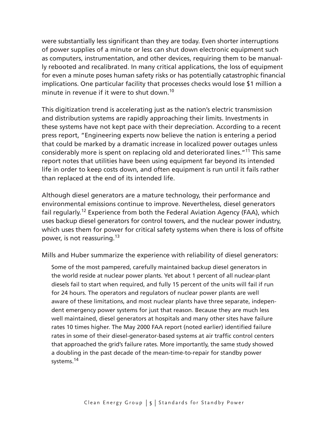were substantially less significant than they are today. Even shorter interruptions of power supplies of a minute or less can shut down electronic equipment such as computers, instrumentation, and other devices, requiring them to be manually rebooted and recalibrated. In many critical applications, the loss of equipment for even a minute poses human safety risks or has potentially catastrophic financial implications. One particular facility that processes checks would lose \$1 million a minute in revenue if it were to shut down.<sup>10</sup>

This digitization trend is accelerating just as the nation's electric transmission and distribution systems are rapidly approaching their limits. Investments in these systems have not kept pace with their depreciation. According to a recent press report, "Engineering experts now believe the nation is entering a period that could be marked by a dramatic increase in localized power outages unless considerably more is spent on replacing old and deteriorated lines."<sup>11</sup> This same report notes that utilities have been using equipment far beyond its intended life in order to keep costs down, and often equipment is run until it fails rather than replaced at the end of its intended life.

Although diesel generators are a mature technology, their performance and environmental emissions continue to improve. Nevertheless, diesel generators fail regularly.12 Experience from both the Federal Aviation Agency (FAA), which uses backup diesel generators for control towers, and the nuclear power industry, which uses them for power for critical safety systems when there is loss of offsite power, is not reassuring.13

Mills and Huber summarize the experience with reliability of diesel generators:

Some of the most pampered, carefully maintained backup diesel generators in the world reside at nuclear power plants. Yet about 1 percent of all nuclear-plant diesels fail to start when required, and fully 15 percent of the units will fail if run for 24 hours. The operators and regulators of nuclear power plants are well aware of these limitations, and most nuclear plants have three separate, independent emergency power systems for just that reason. Because they are much less well maintained, diesel generators at hospitals and many other sites have failure rates 10 times higher. The May 2000 FAA report (noted earlier) identified failure rates in some of their diesel-generator-based systems at air traffic control centers that approached the grid's failure rates. More importantly, the same study showed a doubling in the past decade of the mean-time-to-repair for standby power systems.<sup>14</sup>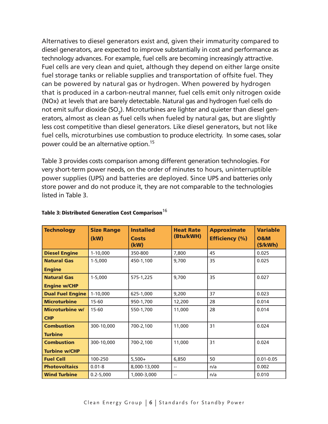Alternatives to diesel generators exist and, given their immaturity compared to diesel generators, are expected to improve substantially in cost and performance as technology advances. For example, fuel cells are becoming increasingly attractive. Fuel cells are very clean and quiet, although they depend on either large onsite fuel storage tanks or reliable supplies and transportation of offsite fuel. They can be powered by natural gas or hydrogen. When powered by hydrogen that is produced in a carbon-neutral manner, fuel cells emit only nitrogen oxide (NOx) at levels that are barely detectable. Natural gas and hydrogen fuel cells do not emit sulfur dioxide (SO<sub>2</sub>). Microturbines are lighter and quieter than diesel generators, almost as clean as fuel cells when fueled by natural gas, but are slightly less cost competitive than diesel generators. Like diesel generators, but not like fuel cells, microturbines use combustion to produce electricity. In some cases, solar power could be an alternative option.15

Table 3 provides costs comparison among different generation technologies. For very short-term power needs, on the order of minutes to hours, uninterruptible power supplies (UPS) and batteries are deployed. Since UPS and batteries only store power and do not produce it, they are not comparable to the technologies listed in Table 3.

| <b>Technology</b>       | <b>Size Range</b><br>(kW) | <b>Installed</b><br><b>Costs</b><br>(kW) | <b>Heat Rate</b><br>(Btu/kWH) | <b>Approximate</b><br><b>Efficiency (%)</b> | <b>Variable</b><br><b>0&amp;M</b><br>$(\frac{1}{2}/kWh)$ |
|-------------------------|---------------------------|------------------------------------------|-------------------------------|---------------------------------------------|----------------------------------------------------------|
| <b>Diesel Engine</b>    | $1-10,000$                | 350-800                                  | 7,800                         | 45                                          | 0.025                                                    |
| <b>Natural Gas</b>      | $1 - 5,000$               | 450-1,100                                | 9,700                         | 35                                          | 0.025                                                    |
| <b>Engine</b>           |                           |                                          |                               |                                             |                                                          |
| <b>Natural Gas</b>      | $1 - 5,000$               | 575-1,225                                | 9,700                         | 35                                          | 0.027                                                    |
| <b>Engine w/CHP</b>     |                           |                                          |                               |                                             |                                                          |
| <b>Dual Fuel Engine</b> | $1-10,000$                | 625-1,000                                | 9,200                         | 37                                          | 0.023                                                    |
| <b>Microturbine</b>     | $15 - 60$                 | 950-1,700                                | 12,200                        | 28                                          | 0.014                                                    |
| <b>Microturbine w/</b>  | $15 - 60$                 | 550-1,700                                | 11,000                        | 28                                          | 0.014                                                    |
| <b>CHP</b>              |                           |                                          |                               |                                             |                                                          |
| <b>Combustion</b>       | 300-10,000                | 700-2,100                                | 11,000                        | 31                                          | 0.024                                                    |
| <b>Turbine</b>          |                           |                                          |                               |                                             |                                                          |
| <b>Combustion</b>       | 300-10,000                | 700-2,100                                | 11,000                        | 31                                          | 0.024                                                    |
| <b>Turbine w/CHP</b>    |                           |                                          |                               |                                             |                                                          |
| <b>Fuel Cell</b>        | 100-250                   | $5,500+$                                 | 6,850                         | 50                                          | $0.01 - 0.05$                                            |
| <b>Photovoltaics</b>    | $0.01 - 8$                | 8,000-13,000                             |                               | n/a                                         | 0.002                                                    |
| <b>Wind Turbine</b>     | $0.2 - 5,000$             | 1,000-3,000                              | $-$                           | n/a                                         | 0.010                                                    |

#### Table 3: Distributed Generation Cost Comparison $^{16}$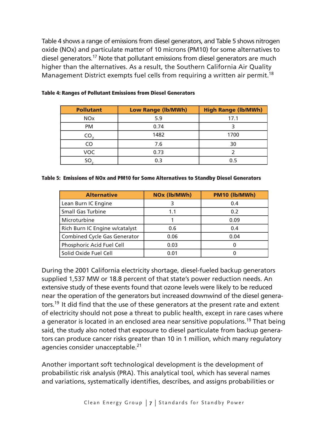Table 4 shows a range of emissions from diesel generators, and Table 5 shows nitrogen oxide (NOx) and particulate matter of 10 microns (PM10) for some alternatives to diesel generators.17 Note that pollutant emissions from diesel generators are much higher than the alternatives. As a result, the Southern California Air Quality Management District exempts fuel cells from requiring a written air permit.<sup>18</sup>

| <b>Pollutant</b>      | <b>Low Range (lb/MWh)</b> | <b>High Range (lb/MWh)</b> |
|-----------------------|---------------------------|----------------------------|
| <b>NO<sub>x</sub></b> | 5.9                       | 17.1                       |
| <b>PM</b>             | 0.74                      |                            |
| CO                    | 1482                      | 1700                       |
| CO                    | 7.6                       | 30                         |
| VOC                   | 0.73                      |                            |
| SO                    | 0.3                       | 0.5                        |

#### Table 4: Ranges of Pollutant Emissions from Diesel Generators

#### Table 5: Emissions of NOx and PM10 for Some Alternatives to Standby Diesel Generators

| <b>Alternative</b>                  | NOx (lb/MWh) | PM10 (lb/MWh) |  |
|-------------------------------------|--------------|---------------|--|
| Lean Burn IC Engine                 |              | 0.4           |  |
| <b>Small Gas Turbine</b>            | 0.2<br>1.1   |               |  |
| Microturbine                        |              | 0.09          |  |
| Rich Burn IC Engine w/catalyst      | 0.6          | 0.4           |  |
| <b>Combined Cycle Gas Generator</b> | 0.06         | 0.04          |  |
| Phosphoric Acid Fuel Cell           | 0.03         | $\mathbf{I}$  |  |
| Solid Oxide Fuel Cell               | 0.01         |               |  |

During the 2001 California electricity shortage, diesel-fueled backup generators supplied 1,537 MW or 18.8 percent of that state's power reduction needs. An extensive study of these events found that ozone levels were likely to be reduced near the operation of the generators but increased downwind of the diesel generators.<sup>19</sup> It did find that the use of these generators at the present rate and extent of electricity should not pose a threat to public health, except in rare cases where a generator is located in an enclosed area near sensitive populations.<sup>19</sup> That being said, the study also noted that exposure to diesel particulate from backup generators can produce cancer risks greater than 10 in 1 million, which many regulatory agencies consider unacceptable.<sup>21</sup>

Another important soft technological development is the development of probabilistic risk analysis (PRA). This analytical tool, which has several names and variations, systematically identifies, describes, and assigns probabilities or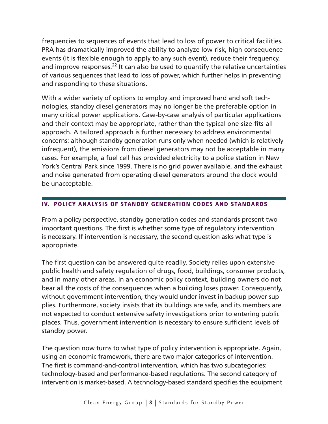frequencies to sequences of events that lead to loss of power to critical facilities. PRA has dramatically improved the ability to analyze low-risk, high-consequence events (it is flexible enough to apply to any such event), reduce their frequency, and improve responses. $^{22}$  It can also be used to quantify the relative uncertainties of various sequences that lead to loss of power, which further helps in preventing and responding to these situations.

With a wider variety of options to employ and improved hard and soft technologies, standby diesel generators may no longer be the preferable option in many critical power applications. Case-by-case analysis of particular applications and their context may be appropriate, rather than the typical one-size-fits-all approach. A tailored approach is further necessary to address environmental concerns: although standby generation runs only when needed (which is relatively infrequent), the emissions from diesel generators may not be acceptable in many cases. For example, a fuel cell has provided electricity to a police station in New York's Central Park since 1999. There is no grid power available, and the exhaust and noise generated from operating diesel generators around the clock would be unacceptable.

#### IV. Policy analysis of standby generation codes and standards

From a policy perspective, standby generation codes and standards present two important questions. The first is whether some type of regulatory intervention is necessary. If intervention is necessary, the second question asks what type is appropriate.

The first question can be answered quite readily. Society relies upon extensive public health and safety regulation of drugs, food, buildings, consumer products, and in many other areas. In an economic policy context, building owners do not bear all the costs of the consequences when a building loses power. Consequently, without government intervention, they would under invest in backup power supplies. Furthermore, society insists that its buildings are safe, and its members are not expected to conduct extensive safety investigations prior to entering public places. Thus, government intervention is necessary to ensure sufficient levels of standby power.

The question now turns to what type of policy intervention is appropriate. Again, using an economic framework, there are two major categories of intervention. The first is command-and-control intervention, which has two subcategories: technology-based and performance-based regulations. The second category of intervention is market-based. A technology-based standard specifies the equipment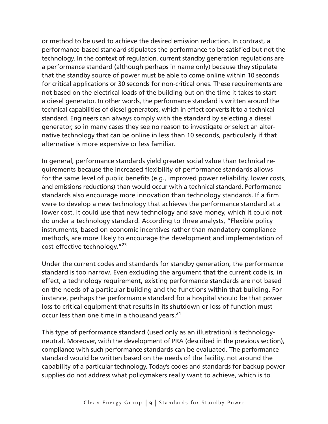or method to be used to achieve the desired emission reduction. In contrast, a performance-based standard stipulates the performance to be satisfied but not the technology. In the context of regulation, current standby generation regulations are a performance standard (although perhaps in name only) because they stipulate that the standby source of power must be able to come online within 10 seconds for critical applications or 30 seconds for non-critical ones. These requirements are not based on the electrical loads of the building but on the time it takes to start a diesel generator. In other words, the performance standard is written around the technical capabilities of diesel generators, which in effect converts it to a technical standard. Engineers can always comply with the standard by selecting a diesel generator, so in many cases they see no reason to investigate or select an alternative technology that can be online in less than 10 seconds, particularly if that alternative is more expensive or less familiar.

In general, performance standards yield greater social value than technical requirements because the increased flexibility of performance standards allows for the same level of public benefits (e.g., improved power reliability, lower costs, and emissions reductions) than would occur with a technical standard. Performance standards also encourage more innovation than technology standards. If a firm were to develop a new technology that achieves the performance standard at a lower cost, it could use that new technology and save money, which it could not do under a technology standard. According to three analysts, "Flexible policy instruments, based on economic incentives rather than mandatory compliance methods, are more likely to encourage the development and implementation of cost-effective technology."23

Under the current codes and standards for standby generation, the performance standard is too narrow. Even excluding the argument that the current code is, in effect, a technology requirement, existing performance standards are not based on the needs of a particular building and the functions within that building. For instance, perhaps the performance standard for a hospital should be that power loss to critical equipment that results in its shutdown or loss of function must occur less than one time in a thousand years.<sup>24</sup>

This type of performance standard (used only as an illustration) is technologyneutral. Moreover, with the development of PRA (described in the previous section), compliance with such performance standards can be evaluated. The performance standard would be written based on the needs of the facility, not around the capability of a particular technology. Today's codes and standards for backup power supplies do not address what policymakers really want to achieve, which is to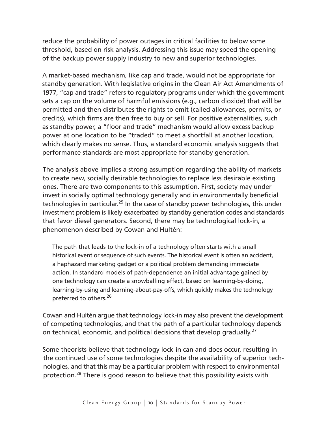reduce the probability of power outages in critical facilities to below some threshold, based on risk analysis. Addressing this issue may speed the opening of the backup power supply industry to new and superior technologies.

A market-based mechanism, like cap and trade, would not be appropriate for standby generation. With legislative origins in the Clean Air Act Amendments of 1977, "cap and trade" refers to regulatory programs under which the government sets a cap on the volume of harmful emissions (e.g., carbon dioxide) that will be permitted and then distributes the rights to emit (called allowances, permits, or credits), which firms are then free to buy or sell. For positive externalities, such as standby power, a "floor and trade" mechanism would allow excess backup power at one location to be "traded" to meet a shortfall at another location, which clearly makes no sense. Thus, a standard economic analysis suggests that performance standards are most appropriate for standby generation.

The analysis above implies a strong assumption regarding the ability of markets to create new, socially desirable technologies to replace less desirable existing ones. There are two components to this assumption. First, society may under invest in socially optimal technology generally and in environmentally beneficial technologies in particular.<sup>25</sup> In the case of standby power technologies, this under investment problem is likely exacerbated by standby generation codes and standards that favor diesel generators. Second, there may be technological lock-in, a phenomenon described by Cowan and Hultén:

The path that leads to the lock-in of a technology often starts with a small historical event or sequence of such events. The historical event is often an accident, a haphazard marketing gadget or a political problem demanding immediate action. In standard models of path-dependence an initial advantage gained by one technology can create a snowballing effect, based on learning-by-doing, learning-by-using and learning-about-pay-offs, which quickly makes the technology preferred to others.<sup>26</sup>

Cowan and Hultén argue that technology lock-in may also prevent the development of competing technologies, and that the path of a particular technology depends on technical, economic, and political decisions that develop gradually.<sup>27</sup>

Some theorists believe that technology lock-in can and does occur, resulting in the continued use of some technologies despite the availability of superior technologies, and that this may be a particular problem with respect to environmental protection.28 There is good reason to believe that this possibility exists with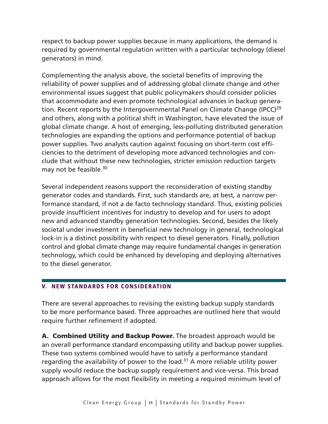respect to backup power supplies because in many applications, the demand is required by governmental regulation written with a particular technology (diesel generators) in mind.

Complementing the analysis above, the societal benefits of improving the reliability of power supplies and of addressing global climate change and other environmental issues suggest that public policymakers should consider policies that accommodate and even promote technological advances in backup generation. Recent reports by the Intergovernmental Panel on Climate Change (IPCC)<sup>29</sup> and others, along with a political shift in Washington, have elevated the issue of global climate change. A host of emerging, less-polluting distributed generation technologies are expanding the options and performance potential of backup power supplies. Two analysts caution against focusing on short-term cost efficiencies to the detriment of developing more advanced technologies and conclude that without these new technologies, stricter emission reduction targets may not be feasible.<sup>30</sup>

Several independent reasons support the reconsideration of existing standby generator codes and standards. First, such standards are, at best, a narrow performance standard, if not a de facto technology standard. Thus, existing policies provide insufficient incentives for industry to develop and for users to adopt new and advanced standby generation technologies. Second, besides the likely societal under investment in beneficial new technology in general, technological lock-in is a distinct possibility with respect to diesel generators. Finally, pollution control and global climate change may require fundamental changes in generation technology, which could be enhanced by developing and deploying alternatives to the diesel generator.

#### V. New standards for consideration

There are several approaches to revising the existing backup supply standards to be more performance based. Three approaches are outlined here that would require further refinement if adopted.

A. Combined Utility and Backup Power. The broadest approach would be an overall performance standard encompassing utility and backup power supplies. These two systems combined would have to satisfy a performance standard regarding the availability of power to the load. $31$  A more reliable utility power supply would reduce the backup supply requirement and vice-versa. This broad approach allows for the most flexibility in meeting a required minimum level of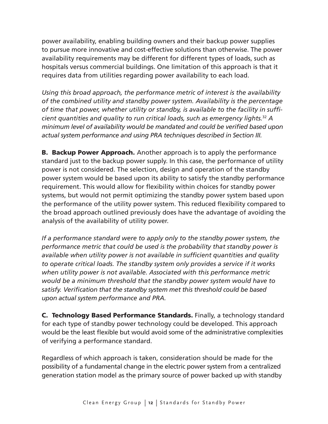power availability, enabling building owners and their backup power supplies to pursue more innovative and cost-effective solutions than otherwise. The power availability requirements may be different for different types of loads, such as hospitals versus commercial buildings. One limitation of this approach is that it requires data from utilities regarding power availability to each load.

*Using this broad approach, the performance metric of interest is the availability of the combined utility and standby power system. Availability is the percentage of time that power, whether utility or standby, is available to the facility in sufficient quantities and quality to run critical loads, such as emergency lights.*<sup>32</sup> *A minimum level of availability would be mandated and could be verified based upon actual system performance and using PRA techniques described in Section III.*

**B. Backup Power Approach.** Another approach is to apply the performance standard just to the backup power supply. In this case, the performance of utility power is not considered. The selection, design and operation of the standby power system would be based upon its ability to satisfy the standby performance requirement. This would allow for flexibility within choices for standby power systems, but would not permit optimizing the standby power system based upon the performance of the utility power system. This reduced flexibility compared to the broad approach outlined previously does have the advantage of avoiding the analysis of the availability of utility power.

*If a performance standard were to apply only to the standby power system, the performance metric that could be used is the probability that standby power is available when utility power is not available in sufficient quantities and quality to operate critical loads. The standby system only provides a service if it works when utility power is not available. Associated with this performance metric would be a minimum threshold that the standby power system would have to satisfy. Verification that the standby system met this threshold could be based upon actual system performance and PRA.*

C. Technology Based Performance Standards. Finally, a technology standard for each type of standby power technology could be developed. This approach would be the least flexible but would avoid some of the administrative complexities of verifying a performance standard.

Regardless of which approach is taken, consideration should be made for the possibility of a fundamental change in the electric power system from a centralized generation station model as the primary source of power backed up with standby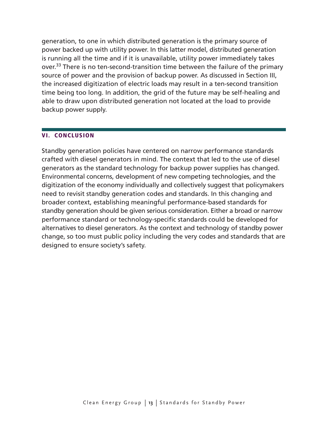generation, to one in which distributed generation is the primary source of power backed up with utility power. In this latter model, distributed generation is running all the time and if it is unavailable, utility power immediately takes over.<sup>33</sup> There is no ten-second-transition time between the failure of the primary source of power and the provision of backup power. As discussed in Section III, the increased digitization of electric loads may result in a ten-second transition time being too long. In addition, the grid of the future may be self-healing and able to draw upon distributed generation not located at the load to provide backup power supply.

#### VI. Conclusion

Standby generation policies have centered on narrow performance standards crafted with diesel generators in mind. The context that led to the use of diesel generators as the standard technology for backup power supplies has changed. Environmental concerns, development of new competing technologies, and the digitization of the economy individually and collectively suggest that policymakers need to revisit standby generation codes and standards. In this changing and broader context, establishing meaningful performance-based standards for standby generation should be given serious consideration. Either a broad or narrow performance standard or technology-specific standards could be developed for alternatives to diesel generators. As the context and technology of standby power change, so too must public policy including the very codes and standards that are designed to ensure society's safety.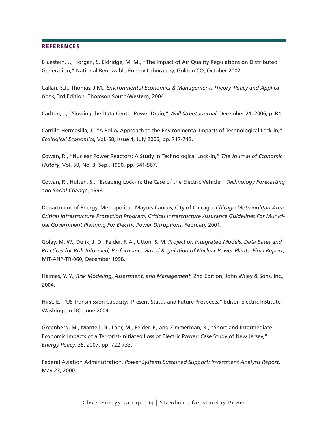#### **REFERENCES**

Bluestein, J., Horgan, S. Eldridge, M. M., "The Impact of Air Quality Regulations on Distributed Generation," National Renewable Energy Laboratory, Golden CO, October 2002.

Callan, S.J., Thomas, J.M., *Environmental Economics & Management: Theory, Policy and Applications*, 3rd Edition, Thomson South-Western, 2004.

Carlton, J., "Slowing the Data-Center Power Drain," *Wall Street Journal*, December 21, 2006, p. B4.

Carrillo-Hermosilla, J., "A Policy Approach to the Environmental Impacts of Technological Lock-in," *Ecological Economics*, Vol. 58, Issue 4, July 2006, pp. 717-742.

Cowan, R., "Nuclear Power Reactors: A Study in Technological Lock-in," *The Journal of Economic History*, Vol. 50, No. 3, Sep., 1990, pp. 541-567.

Cowan, R., Hultén, S., "Escaping Lock-in: the Case of the Electric Vehicle," *Technology Forecasting and Social Change*, 1996.

Department of Energy, Metropolitan Mayors Caucus, City of Chicago, *Chicago Metropolitan Area Critical Infrastructure Protection Program: Critical Infrastructure Assurance Guidelines For Municipal Government Planning For Electric Power Disruptions*, February 2001.

Golay, M. W., Dulik, J. D., Felder, F. A., Utton, S. M. *Project on Integrated Models, Data Bases and Practices for Risk-Informed, Performance-Based Regulation of Nuclear Power Plants: Final Report*, MIT-ANP-TR-060, December 1998.

Haimes, Y. Y., *Risk Modeling, Assessment, and Management*, 2nd Edition, John Wiley & Sons, Inc., 2004.

Hirst, E., "US Transmission Capacity: Present Status and Future Prospects," Edison Electric Institute, Washington DC, June 2004.

Greenberg, M., Mantell, N., Lahr, M., Felder, F., and Zimmerman, R., "Short and Intermediate Economic Impacts of a Terrorist-Initiated Loss of Electric Power: Case Study of New Jersey," *Energy Policy*, 35, 2007, pp. 722-733.

Federal Aviation Administration, *Power Systems Sustained Support: Investment Analysis Report*, May 23, 2000.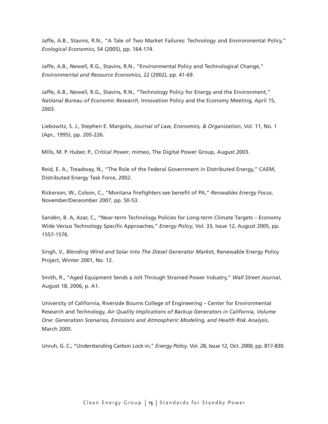Jaffe, A.B., Stavins, R.N., "A Tale of Two Market Failures: Technology and Environmental Policy," *Ecological Economics*, 54 (2005), pp. 164-174.

Jaffe, A.B., Newell, R.G., Stavins, R.N., "Environmental Policy and Technological Change," *Environmental and Resource Economics*, 22 (2002), pp. 41-69.

Jaffe, A.B., Newell, R.G., Stavins, R.N., "Technology Policy for Energy and the Environment," *National Bureau of Economic Research*, Innovation Policy and the Economy Meeting, April 15, 2003.

Liebowitz, S. J., Stephen E. Margolis, *Journal of Law, Economics, & Organization*, Vol. 11, No. 1 (Apr., 1995), pp. 205-226.

Mills, M. P. Huber, P., *Critical Power*, mimeo, The Digital Power Group, August 2003.

Reid, E. A., Treadway, N., "The Role of the Federal Government in Distributed Energy," CAEM, Distributed Energy Task Force, 2002.

Rickerson, W., Colson, C., "Montana firefighters see benefit of PA," *Renwables Energy Focus*, November/Deceomber 2007, pp. 50-53.

Sandén, B. A, Azar, C., "Near-term Technology Policies for Long-term Climate Targets – Economy Wide Versus Technology Specific Approaches," *Energy Policy*, Vol. 33, Issue 12, August 2005, pp. 1557-1576.

Singh, V., *Blending Wind and Solar Into The Diesel Generator Marke*t, Renewable Energy Policy Project, Winter 2001, No. 12.

Smith, R., "Aged Equipment Sends a Jolt Through Strained Power Industry," *Wall Street Journal*, August 18, 2006, p. A1.

University of California, Riverside Bourns College of Engineering – Center for Environmental Research and Technology, *Air Quality Implications of Backup Generators in California, Volume One: Generation Scenarios, Emissions and Atmospheric Modeling, and Health Risk Analysis*, March 2005.

Unruh, G. C., "Understanding Carbon Lock-in," *Energy Policy*, Vol. 28, Issue 12, Oct. 2000, pp. 817-830.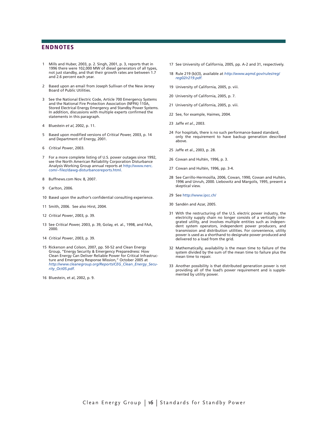#### **ENDNOTES**

- 1 Mills and Huber, 2003, p. 2. Singh, 2001, p. 3, reports that in 1996 there were 102,000 MW of diesel generators of all types, not just standby, and that their growth rates are between 1.7 and 2.6 percent each year.
- 2 Based upon an email from Joseph Sullivan of the New Jersey Board of Public Utilities.
- 3 See the National Electric Code, Article 700 Emergency Systems and the National Fire Protection Association (NFPA) 110A, Stored Electrical Energy Emergency and Standby Power Systems. In addition, discussions with multiple experts confirmed the statements in this paragraph.
- 4 Bluestein *et al*, 2002, p. 11.
- 5 Based upon modified versions of *Critical Power,* 2003, p. 14 and Department of Energy, 2001.
- 6 *Critical Power*, 2003.
- 7 For a more complete listing of U.S. power outages since 1992, see the North American Reliability Corporation Disturbance Analysis Working Group annual reports at http://www.nerc. com/~filez/dawg-disturbancereports.html.
- 8 Buffnews.com Nov. 8, 2007.
- 9 Carlton, 2006.
- 10 Based upon the author's confidential consulting experience.
- 11 Smith, 2006. See also Hirst, 2004.
- 12 *Critical Power*, 2003, p. 39.
- 13 See *Critical Power,* 2003, p. 39, Golay, et. al., 1998, and FAA, 2000.
- 14 *Critical Power*, 2003, p. 39.
- 15 Rickerson and Colson, 2007, pp. 50-52 and Clean Energy Group, "Energy Security & Emergency Preparedness: How Clean Energy Can Deliver Reliable Power for Critical Infrastructure and Emergency Response Mission," October 2005 at *http://www.cleanegroup.org/Reports/CEG\_Clean\_Energy\_Security\_Oct05.pdf.*
- 16 Bluestein, et al, 2002, p. 9.
- 17 See University of California, 2005, pp. A-2 and 31, respectively.
- 18 Rule 219 (b)(3), available at *http://www.aqmd.gov/rules/reg/ reg02/r219.pdf.*
- 19 University of California, 2005, p. viii.
- 20 University of California, 2005, p. 7.
- 21 University of California, 2005, p. viii.
- 22 See, for example, Haimes, 2004.
- 23 Jaffe *et al*., 2003.
- 24 For hospitals, there is no such performance-based standard, only the requirement to have backup generation described above.
- 25 Jaffe et al., 2003, p. 28.
- 26 Cowan and Hultén, 1996, p. 3.
- 27 Cowan and Hultén, 1996, pp. 3-4.
- 28 See Carrillo-Hermosilla, 2006, Cowan, 1990, Cowan and Hultén, 1996 and Unruh, 2000. Liebowitz and Margolis, 1995, present a skeptical view.
- 29 See http://www.ipcc.ch/
- 30 Sandén and Azar, 2005.
- 31 With the restructuring of the U.S. electric power industry, the electricity supply chain no longer consists of a vertically integrated utility, and involves multiple entities such as independent system operators, independent power producers, and transmission and distribution utilities. For convenience, utility power is used as a shorthand to designate power produced and delivered to a load from the grid.
- 32 Mathematically, availability is the mean time to failure of the system divided by the sum of the mean time to failure plus the mean time to repair.
- 33 Another possibility is that distributed generation power is not providing all of the load's power requirement and is supplemented by utility power.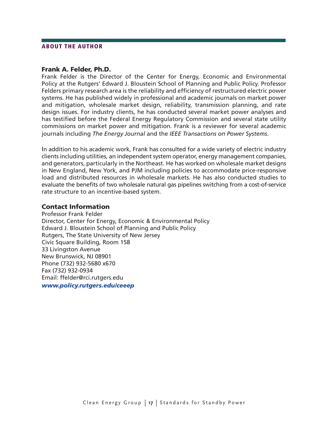#### About the author

#### Frank A. Felder, Ph.D.

Frank Felder is the Director of the Center for Energy, Economic and Environmental Policy at the Rutgers' Edward J. Bloustein School of Planning and Public Policy. Professor Felders primary research area is the reliability and efficiency of restructured electric power systems. He has published widely in professional and academic journals on market power and mitigation, wholesale market design, reliability, transmission planning, and rate design issues. For industry clients, he has conducted several market power analyses and has testified before the Federal Energy Regulatory Commission and several state utility commissions on market power and mitigation. Frank is a reviewer for several academic journals including *The Energy Journal* and the *IEEE Transactions on Power Systems*.

In addition to his academic work, Frank has consulted for a wide variety of electric industry clients including utilities, an independent system operator, energy management companies, and generators, particularly in the Northeast. He has worked on wholesale market designs in New England, New York, and PJM including policies to accommodate price-responsive load and distributed resources in wholesale markets. He has also conducted studies to evaluate the benefits of two wholesale natural gas pipelines switching from a cost-of-service rate structure to an incentive-based system.

#### Contact Information

Professor Frank Felder Director, Center for Energy, Economic & Environmental Policy Edward J. Bloustein School of Planning and Public Policy Rutgers, The State University of New Jersey Civic Square Building, Room 158 33 Livingston Avenue New Brunswick, NJ 08901 Phone (732) 932-5680 x670 Fax (732) 932-0934 Email: ffelder@rci.rutgers.edu *www.policy.rutgers.edu/ceeep*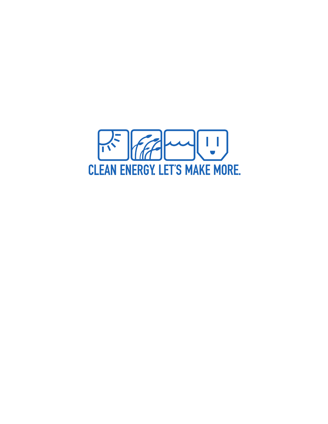